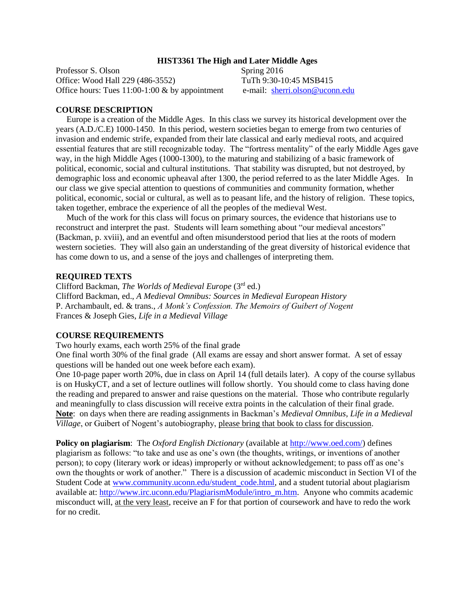#### **HIST3361 The High and Later Middle Ages**

Professor S. Olson Spring 2016 Office: Wood Hall 229 (486-3552) TuTh 9:30-10:45 MSB415 Office hours: Tues  $11:00-1:00 \& b$  by appointment e-mail: [sherri.olson@uconn.edu](mailto:sherri.olson@uconn.edu)

#### **COURSE DESCRIPTION**

 Europe is a creation of the Middle Ages. In this class we survey its historical development over the years (A.D./C.E) 1000-1450. In this period, western societies began to emerge from two centuries of invasion and endemic strife, expanded from their late classical and early medieval roots, and acquired essential features that are still recognizable today. The "fortress mentality" of the early Middle Ages gave way, in the high Middle Ages (1000-1300), to the maturing and stabilizing of a basic framework of political, economic, social and cultural institutions. That stability was disrupted, but not destroyed, by demographic loss and economic upheaval after 1300, the period referred to as the later Middle Ages. In our class we give special attention to questions of communities and community formation, whether political, economic, social or cultural, as well as to peasant life, and the history of religion. These topics, taken together, embrace the experience of all the peoples of the medieval West.

 Much of the work for this class will focus on primary sources, the evidence that historians use to reconstruct and interpret the past. Students will learn something about "our medieval ancestors" (Backman, p. xviii), and an eventful and often misunderstood period that lies at the roots of modern western societies. They will also gain an understanding of the great diversity of historical evidence that has come down to us, and a sense of the joys and challenges of interpreting them.

#### **REQUIRED TEXTS**

Clifford Backman, *The Worlds of Medieval Europe* (3rd ed.) Clifford Backman, ed., *A Medieval Omnibus: Sources in Medieval European History* P. Archambault, ed. & trans., *A Monk's Confession. The Memoirs of Guibert of Nogent* Frances & Joseph Gies, *Life in a Medieval Village*

#### **COURSE REQUIREMENTS**

Two hourly exams, each worth 25% of the final grade

One final worth 30% of the final grade (All exams are essay and short answer format. A set of essay questions will be handed out one week before each exam).

One 10-page paper worth 20%, due in class on April 14 (full details later). A copy of the course syllabus is on HuskyCT, and a set of lecture outlines will follow shortly. You should come to class having done the reading and prepared to answer and raise questions on the material. Those who contribute regularly and meaningfully to class discussion will receive extra points in the calculation of their final grade. **Note**: on days when there are reading assignments in Backman's *Medieval Omnibus*, *Life in a Medieval Village*, or Guibert of Nogent's autobiography, please bring that book to class for discussion.

**Policy on plagiarism**: The *Oxford English Dictionary* (available at [http://www.oed.com/\)](http://www.oed.com/) defines plagiarism as follows: "to take and use as one's own (the thoughts, writings, or inventions of another person); to copy (literary work or ideas) improperly or without acknowledgement; to pass off as one's own the thoughts or work of another." There is a discussion of academic misconduct in Section VI of the Student Code at [www.community.uconn.edu/student\\_code.html,](http://www.community.uconn.edu/student_code.html) and a student tutorial about plagiarism available at: [http://www.irc.uconn.edu/PlagiarismModule/intro\\_m.htm.](http://www.irc.uconn.edu/PlagiarismModule/intro_m.htm) Anyone who commits academic misconduct will, at the very least, receive an F for that portion of coursework and have to redo the work for no credit.